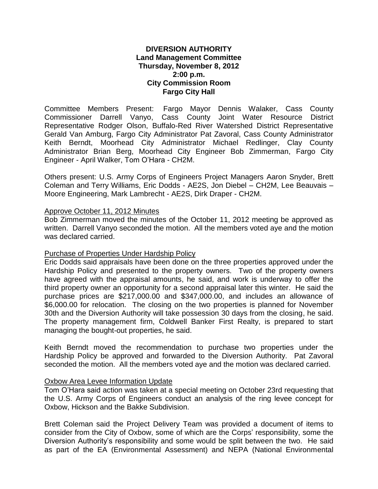## **DIVERSION AUTHORITY Land Management Committee Thursday, November 8, 2012 2:00 p.m. City Commission Room Fargo City Hall**

Committee Members Present: Fargo Mayor Dennis Walaker, Cass County Commissioner Darrell Vanyo, Cass County Joint Water Resource District Representative Rodger Olson, Buffalo-Red River Watershed District Representative Gerald Van Amburg, Fargo City Administrator Pat Zavoral, Cass County Administrator Keith Berndt, Moorhead City Administrator Michael Redlinger, Clay County Administrator Brian Berg, Moorhead City Engineer Bob Zimmerman, Fargo City Engineer - April Walker, Tom O'Hara - CH2M.

Others present: U.S. Army Corps of Engineers Project Managers Aaron Snyder, Brett Coleman and Terry Williams, Eric Dodds - AE2S, Jon Diebel – CH2M, Lee Beauvais – Moore Engineering, Mark Lambrecht - AE2S, Dirk Draper - CH2M.

### Approve October 11, 2012 Minutes

Bob Zimmerman moved the minutes of the October 11, 2012 meeting be approved as written. Darrell Vanyo seconded the motion. All the members voted aye and the motion was declared carried.

### Purchase of Properties Under Hardship Policy

Eric Dodds said appraisals have been done on the three properties approved under the Hardship Policy and presented to the property owners. Two of the property owners have agreed with the appraisal amounts, he said, and work is underway to offer the third property owner an opportunity for a second appraisal later this winter. He said the purchase prices are \$217,000.00 and \$347,000.00, and includes an allowance of \$6,000.00 for relocation. The closing on the two properties is planned for November 30th and the Diversion Authority will take possession 30 days from the closing, he said. The property management firm, Coldwell Banker First Realty, is prepared to start managing the bought-out properties, he said.

Keith Berndt moved the recommendation to purchase two properties under the Hardship Policy be approved and forwarded to the Diversion Authority. Pat Zavoral seconded the motion. All the members voted aye and the motion was declared carried.

### **Oxbow Area Levee Information Update**

Tom O'Hara said action was taken at a special meeting on October 23rd requesting that the U.S. Army Corps of Engineers conduct an analysis of the ring levee concept for Oxbow, Hickson and the Bakke Subdivision.

Brett Coleman said the Project Delivery Team was provided a document of items to consider from the City of Oxbow, some of which are the Corps' responsibility, some the Diversion Authority's responsibility and some would be split between the two. He said as part of the EA (Environmental Assessment) and NEPA (National Environmental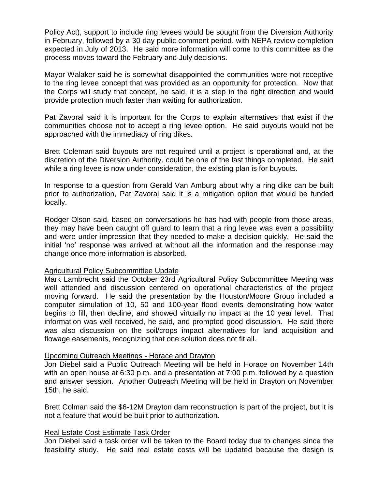Policy Act), support to include ring levees would be sought from the Diversion Authority in February, followed by a 30 day public comment period, with NEPA review completion expected in July of 2013. He said more information will come to this committee as the process moves toward the February and July decisions.

Mayor Walaker said he is somewhat disappointed the communities were not receptive to the ring levee concept that was provided as an opportunity for protection. Now that the Corps will study that concept, he said, it is a step in the right direction and would provide protection much faster than waiting for authorization.

Pat Zavoral said it is important for the Corps to explain alternatives that exist if the communities choose not to accept a ring levee option. He said buyouts would not be approached with the immediacy of ring dikes.

Brett Coleman said buyouts are not required until a project is operational and, at the discretion of the Diversion Authority, could be one of the last things completed. He said while a ring levee is now under consideration, the existing plan is for buyouts.

In response to a question from Gerald Van Amburg about why a ring dike can be built prior to authorization, Pat Zavoral said it is a mitigation option that would be funded locally.

Rodger Olson said, based on conversations he has had with people from those areas, they may have been caught off guard to learn that a ring levee was even a possibility and were under impression that they needed to make a decision quickly. He said the initial 'no' response was arrived at without all the information and the response may change once more information is absorbed.

### Agricultural Policy Subcommittee Update

Mark Lambrecht said the October 23rd Agricultural Policy Subcommittee Meeting was well attended and discussion centered on operational characteristics of the project moving forward. He said the presentation by the Houston/Moore Group included a computer simulation of 10, 50 and 100-year flood events demonstrating how water begins to fill, then decline, and showed virtually no impact at the 10 year level. That information was well received, he said, and prompted good discussion. He said there was also discussion on the soil/crops impact alternatives for land acquisition and flowage easements, recognizing that one solution does not fit all.

# Upcoming Outreach Meetings - Horace and Drayton

Jon Diebel said a Public Outreach Meeting will be held in Horace on November 14th with an open house at 6:30 p.m. and a presentation at 7:00 p.m. followed by a question and answer session. Another Outreach Meeting will be held in Drayton on November 15th, he said.

Brett Colman said the \$6-12M Drayton dam reconstruction is part of the project, but it is not a feature that would be built prior to authorization.

# Real Estate Cost Estimate Task Order

Jon Diebel said a task order will be taken to the Board today due to changes since the feasibility study. He said real estate costs will be updated because the design is